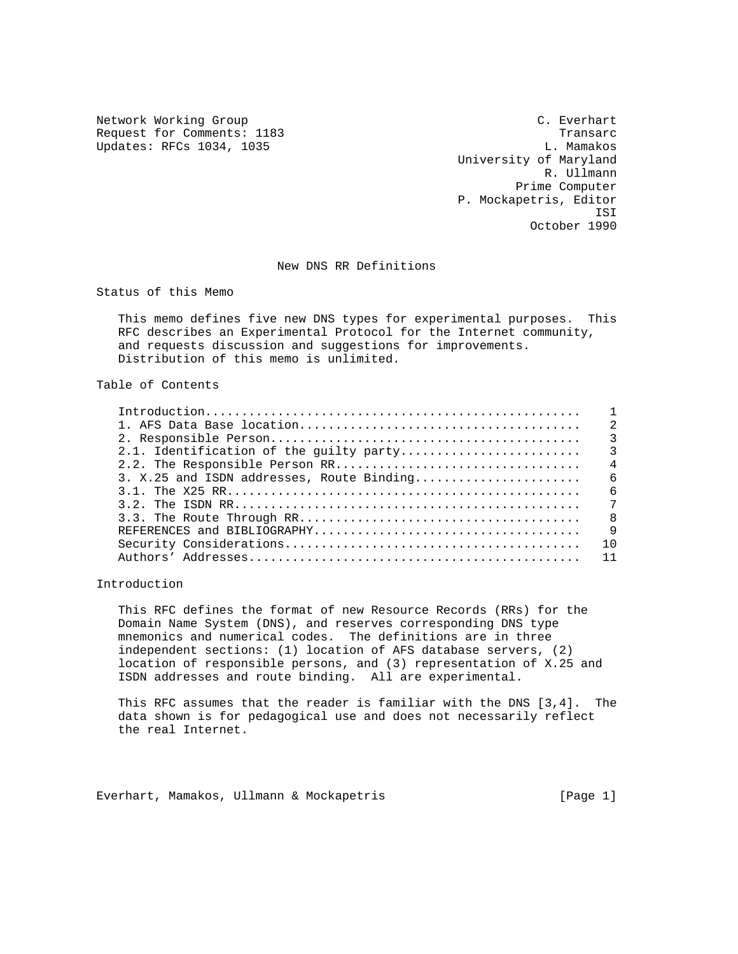Network Working Group C. Everhart Request for Comments: 1183<br>
Updates: RFCs 1034, 1035<br>
Updates: RFCs 1034, 1035 Updates: RFCs 1034, 1035

 University of Maryland R. Ullmann Prime Computer P. Mockapetris, Editor ISI October 1990

### New DNS RR Definitions

Status of this Memo

 This memo defines five new DNS types for experimental purposes. This RFC describes an Experimental Protocol for the Internet community, and requests discussion and suggestions for improvements. Distribution of this memo is unlimited.

# Table of Contents

|                                           | $\overline{4}$ |
|-------------------------------------------|----------------|
| 3. X.25 and ISDN addresses, Route Binding | - 6            |
|                                           | $\epsilon$     |
|                                           | 7              |
|                                           | - 8            |
|                                           | $\overline{9}$ |
|                                           |                |
|                                           |                |
|                                           |                |

## Introduction

 This RFC defines the format of new Resource Records (RRs) for the Domain Name System (DNS), and reserves corresponding DNS type mnemonics and numerical codes. The definitions are in three independent sections: (1) location of AFS database servers, (2) location of responsible persons, and (3) representation of X.25 and ISDN addresses and route binding. All are experimental.

 This RFC assumes that the reader is familiar with the DNS [3,4]. The data shown is for pedagogical use and does not necessarily reflect the real Internet.

Everhart, Mamakos, Ullmann & Mockapetris [Page 1]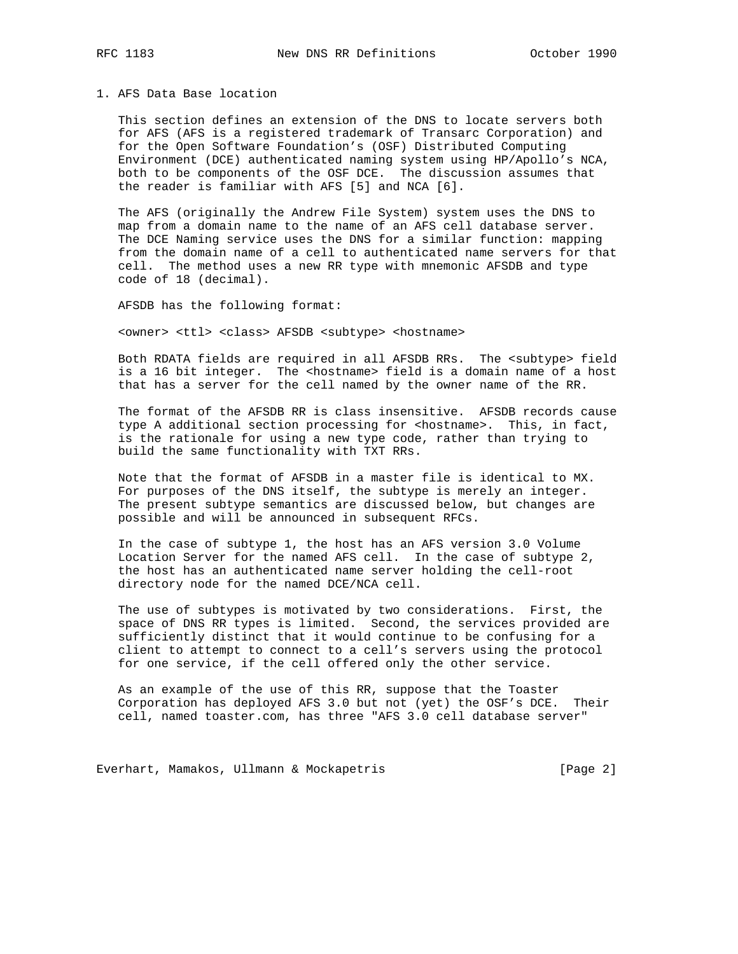### 1. AFS Data Base location

 This section defines an extension of the DNS to locate servers both for AFS (AFS is a registered trademark of Transarc Corporation) and for the Open Software Foundation's (OSF) Distributed Computing Environment (DCE) authenticated naming system using HP/Apollo's NCA, both to be components of the OSF DCE. The discussion assumes that the reader is familiar with AFS [5] and NCA [6].

 The AFS (originally the Andrew File System) system uses the DNS to map from a domain name to the name of an AFS cell database server. The DCE Naming service uses the DNS for a similar function: mapping from the domain name of a cell to authenticated name servers for that cell. The method uses a new RR type with mnemonic AFSDB and type code of 18 (decimal).

AFSDB has the following format:

<owner> <ttl> <class> AFSDB <subtype> <hostname>

 Both RDATA fields are required in all AFSDB RRs. The <subtype> field is a 16 bit integer. The <hostname> field is a domain name of a host that has a server for the cell named by the owner name of the RR.

 The format of the AFSDB RR is class insensitive. AFSDB records cause type A additional section processing for <hostname>. This, in fact, is the rationale for using a new type code, rather than trying to build the same functionality with TXT RRs.

 Note that the format of AFSDB in a master file is identical to MX. For purposes of the DNS itself, the subtype is merely an integer. The present subtype semantics are discussed below, but changes are possible and will be announced in subsequent RFCs.

 In the case of subtype 1, the host has an AFS version 3.0 Volume Location Server for the named AFS cell. In the case of subtype 2, the host has an authenticated name server holding the cell-root directory node for the named DCE/NCA cell.

 The use of subtypes is motivated by two considerations. First, the space of DNS RR types is limited. Second, the services provided are sufficiently distinct that it would continue to be confusing for a client to attempt to connect to a cell's servers using the protocol for one service, if the cell offered only the other service.

 As an example of the use of this RR, suppose that the Toaster Corporation has deployed AFS 3.0 but not (yet) the OSF's DCE. Their cell, named toaster.com, has three "AFS 3.0 cell database server"

Everhart, Mamakos, Ullmann & Mockapetris [Page 2]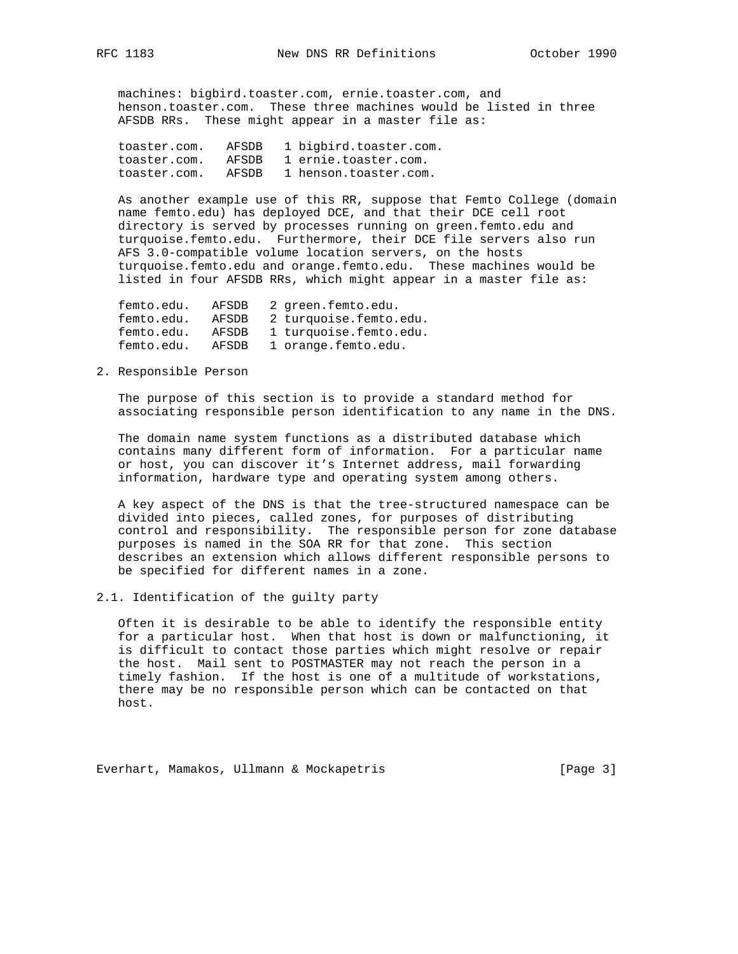machines: bigbird.toaster.com, ernie.toaster.com, and henson.toaster.com. These three machines would be listed in three AFSDB RRs. These might appear in a master file as:

| toaster.com. | AFSDB | 1 bigbird.toaster.com. |
|--------------|-------|------------------------|
| toaster.com. | AFSDR | 1 ernie.toaster.com.   |
| toaster.com. | AFSDR | 1 henson.toaster.com.  |

 As another example use of this RR, suppose that Femto College (domain name femto.edu) has deployed DCE, and that their DCE cell root directory is served by processes running on green.femto.edu and turquoise.femto.edu. Furthermore, their DCE file servers also run AFS 3.0-compatible volume location servers, on the hosts turquoise.femto.edu and orange.femto.edu. These machines would be listed in four AFSDB RRs, which might appear in a master file as:

| femto.edu. | AFSDB | 2 green.femto.edu.     |
|------------|-------|------------------------|
| femto.edu. | AFSDB | 2 turquoise.femto.edu. |
| femto.edu. | AFSDB | 1 turquoise.femto.edu. |
| femto.edu. | AFSDB | 1 orange.femto.edu.    |

## 2. Responsible Person

 The purpose of this section is to provide a standard method for associating responsible person identification to any name in the DNS.

 The domain name system functions as a distributed database which contains many different form of information. For a particular name or host, you can discover it's Internet address, mail forwarding information, hardware type and operating system among others.

 A key aspect of the DNS is that the tree-structured namespace can be divided into pieces, called zones, for purposes of distributing control and responsibility. The responsible person for zone database purposes is named in the SOA RR for that zone. This section describes an extension which allows different responsible persons to be specified for different names in a zone.

2.1. Identification of the guilty party

 Often it is desirable to be able to identify the responsible entity for a particular host. When that host is down or malfunctioning, it is difficult to contact those parties which might resolve or repair the host. Mail sent to POSTMASTER may not reach the person in a timely fashion. If the host is one of a multitude of workstations, there may be no responsible person which can be contacted on that host.

Everhart, Mamakos, Ullmann & Mockapetris [Page 3]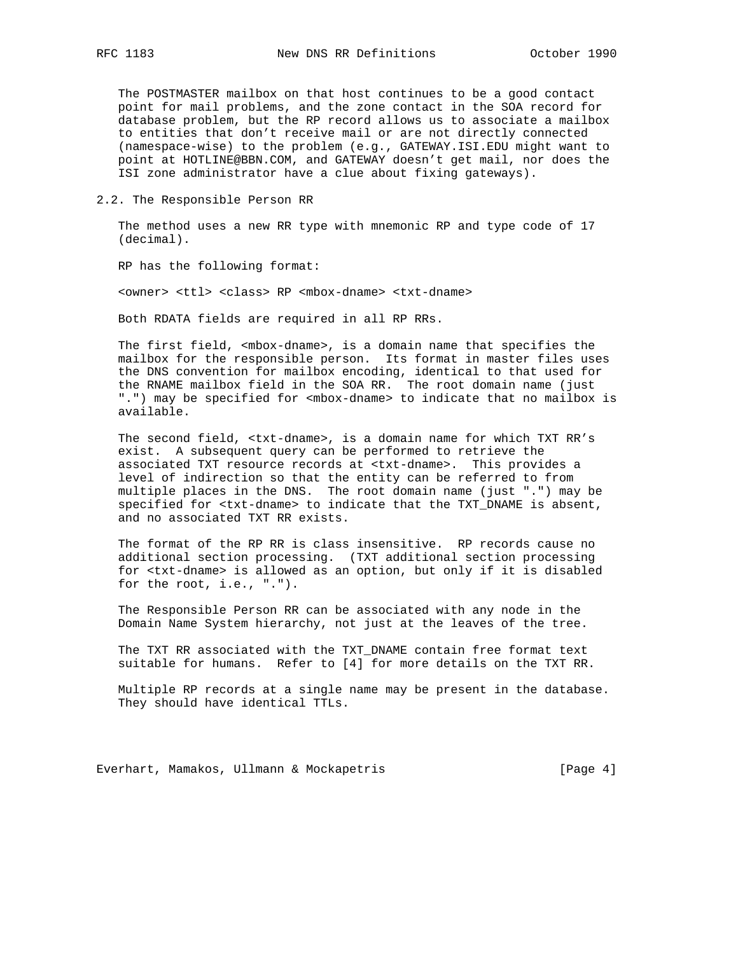The POSTMASTER mailbox on that host continues to be a good contact point for mail problems, and the zone contact in the SOA record for database problem, but the RP record allows us to associate a mailbox to entities that don't receive mail or are not directly connected (namespace-wise) to the problem (e.g., GATEWAY.ISI.EDU might want to point at HOTLINE@BBN.COM, and GATEWAY doesn't get mail, nor does the ISI zone administrator have a clue about fixing gateways).

2.2. The Responsible Person RR

 The method uses a new RR type with mnemonic RP and type code of 17 (decimal).

RP has the following format:

<owner> <ttl> <class> RP <mbox-dname> <txt-dname>

Both RDATA fields are required in all RP RRs.

 The first field, <mbox-dname>, is a domain name that specifies the mailbox for the responsible person. Its format in master files uses the DNS convention for mailbox encoding, identical to that used for the RNAME mailbox field in the SOA RR. The root domain name (just ".") may be specified for <mbox-dname> to indicate that no mailbox is available.

 The second field, <txt-dname>, is a domain name for which TXT RR's exist. A subsequent query can be performed to retrieve the associated TXT resource records at <txt-dname>. This provides a level of indirection so that the entity can be referred to from multiple places in the DNS. The root domain name (just ".") may be specified for <txt-dname> to indicate that the TXT\_DNAME is absent, and no associated TXT RR exists.

The format of the RP RR is class insensitive. RP records cause no additional section processing. (TXT additional section processing for <txt-dname> is allowed as an option, but only if it is disabled for the root, i.e., ".").

 The Responsible Person RR can be associated with any node in the Domain Name System hierarchy, not just at the leaves of the tree.

 The TXT RR associated with the TXT\_DNAME contain free format text suitable for humans. Refer to [4] for more details on the TXT RR.

 Multiple RP records at a single name may be present in the database. They should have identical TTLs.

Everhart, Mamakos, Ullmann & Mockapetris [Page 4]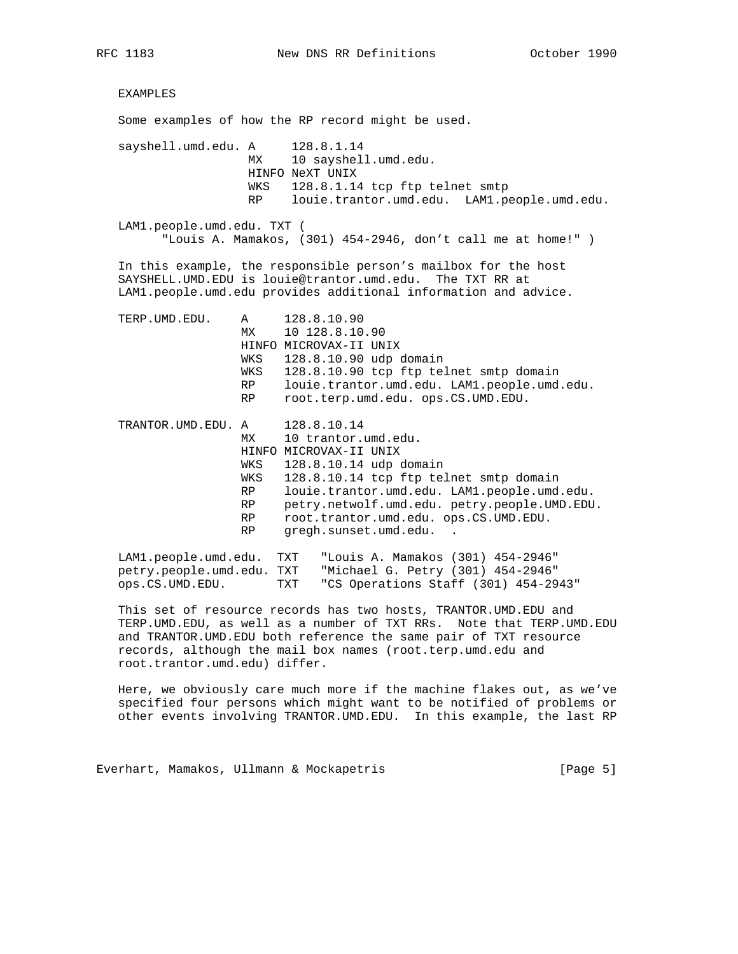EXAMPLES Some examples of how the RP record might be used. sayshell.umd.edu. A 128.8.1.14 MX 10 sayshell.umd.edu. HINFO NeXT UNIX WKS 128.8.1.14 tcp ftp telnet smtp RP louie.trantor.umd.edu. LAM1.people.umd.edu. LAM1.people.umd.edu. TXT ( "Louis A. Mamakos, (301) 454-2946, don't call me at home!" ) In this example, the responsible person's mailbox for the host SAYSHELL.UMD.EDU is louie@trantor.umd.edu. The TXT RR at LAM1.people.umd.edu provides additional information and advice. TERP.UMD.EDU. A 128.8.10.90 MX 10 128.8.10.90 HINFO MICROVAX-II UNIX WKS 128.8.10.90 udp domain WKS 128.8.10.90 tcp ftp telnet smtp domain RP louie.trantor.umd.edu. LAM1.people.umd.edu. RP root.terp.umd.edu. ops.CS.UMD.EDU. TRANTOR.UMD.EDU. A 128.8.10.14 A 128.8.10.14<br>MX 10 trantor.umd.edu. HINFO MICROVAX-II UNIX WKS 128.8.10.14 udp domain WKS 128.8.10.14 tcp ftp telnet smtp domain RP louie.trantor.umd.edu. LAM1.people.umd.edu. RP petry.netwolf.umd.edu. petry.people.UMD.EDU. RP root.trantor.umd.edu. ops.CS.UMD.EDU. RP gregh.sunset.umd.edu. . LAM1.people.umd.edu. TXT "Louis A. Mamakos (301) 454-2946"<br>petry.people.umd.edu. TXT "Michael G. Petry (301) 454-2946" "Michael G. Petry (301) 454-2946" ops.CS.UMD.EDU. TXT "CS Operations Staff (301) 454-2943"

 This set of resource records has two hosts, TRANTOR.UMD.EDU and TERP.UMD.EDU, as well as a number of TXT RRs. Note that TERP.UMD.EDU and TRANTOR.UMD.EDU both reference the same pair of TXT resource records, although the mail box names (root.terp.umd.edu and root.trantor.umd.edu) differ.

 Here, we obviously care much more if the machine flakes out, as we've specified four persons which might want to be notified of problems or other events involving TRANTOR.UMD.EDU. In this example, the last RP

Everhart, Mamakos, Ullmann & Mockapetris [Page 5]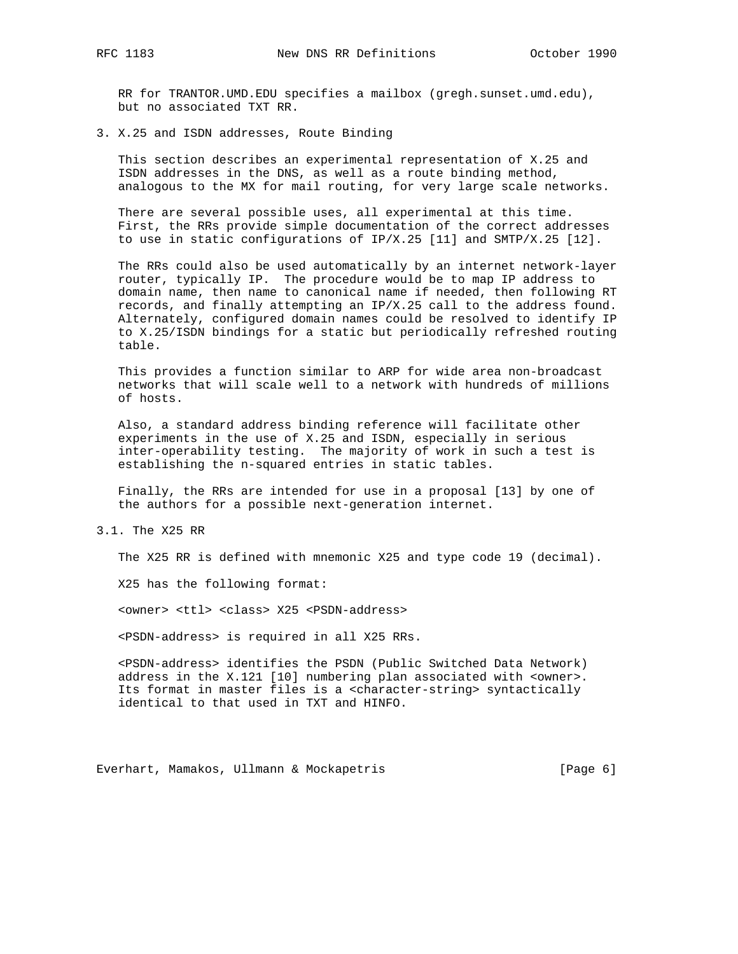RR for TRANTOR.UMD.EDU specifies a mailbox (gregh.sunset.umd.edu), but no associated TXT RR.

3. X.25 and ISDN addresses, Route Binding

 This section describes an experimental representation of X.25 and ISDN addresses in the DNS, as well as a route binding method, analogous to the MX for mail routing, for very large scale networks.

 There are several possible uses, all experimental at this time. First, the RRs provide simple documentation of the correct addresses to use in static configurations of IP/X.25 [11] and SMTP/X.25 [12].

 The RRs could also be used automatically by an internet network-layer router, typically IP. The procedure would be to map IP address to domain name, then name to canonical name if needed, then following RT records, and finally attempting an IP/X.25 call to the address found. Alternately, configured domain names could be resolved to identify IP to X.25/ISDN bindings for a static but periodically refreshed routing table.

 This provides a function similar to ARP for wide area non-broadcast networks that will scale well to a network with hundreds of millions of hosts.

 Also, a standard address binding reference will facilitate other experiments in the use of X.25 and ISDN, especially in serious inter-operability testing. The majority of work in such a test is establishing the n-squared entries in static tables.

 Finally, the RRs are intended for use in a proposal [13] by one of the authors for a possible next-generation internet.

3.1. The X25 RR

The X25 RR is defined with mnemonic X25 and type code 19 (decimal).

X25 has the following format:

<owner> <ttl> <class> X25 <PSDN-address>

<PSDN-address> is required in all X25 RRs.

 <PSDN-address> identifies the PSDN (Public Switched Data Network) address in the X.121 [10] numbering plan associated with <owner>. Its format in master files is a <character-string> syntactically identical to that used in TXT and HINFO.

Everhart, Mamakos, Ullmann & Mockapetris [Page 6]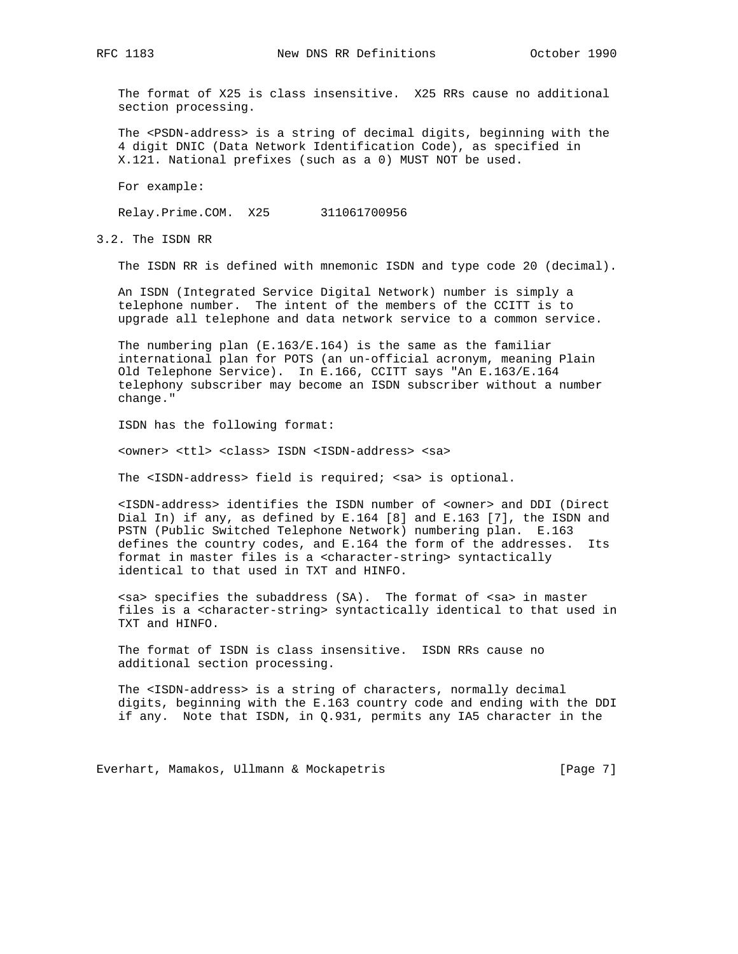The format of X25 is class insensitive. X25 RRs cause no additional section processing.

 The <PSDN-address> is a string of decimal digits, beginning with the 4 digit DNIC (Data Network Identification Code), as specified in X.121. National prefixes (such as a 0) MUST NOT be used.

For example:

Relay.Prime.COM. X25 311061700956

3.2. The ISDN RR

The ISDN RR is defined with mnemonic ISDN and type code 20 (decimal).

 An ISDN (Integrated Service Digital Network) number is simply a telephone number. The intent of the members of the CCITT is to upgrade all telephone and data network service to a common service.

 The numbering plan (E.163/E.164) is the same as the familiar international plan for POTS (an un-official acronym, meaning Plain Old Telephone Service). In E.166, CCITT says "An E.163/E.164 telephony subscriber may become an ISDN subscriber without a number change."

ISDN has the following format:

<owner> <ttl> <class> ISDN <ISDN-address> <sa>

The <ISDN-address> field is required; <sa> is optional.

 <ISDN-address> identifies the ISDN number of <owner> and DDI (Direct Dial In) if any, as defined by E.164 [8] and E.163 [7], the ISDN and PSTN (Public Switched Telephone Network) numbering plan. E.163 defines the country codes, and E.164 the form of the addresses. Its format in master files is a <character-string> syntactically identical to that used in TXT and HINFO.

 <sa> specifies the subaddress (SA). The format of <sa> in master files is a <character-string> syntactically identical to that used in TXT and HINFO.

 The format of ISDN is class insensitive. ISDN RRs cause no additional section processing.

 The <ISDN-address> is a string of characters, normally decimal digits, beginning with the E.163 country code and ending with the DDI if any. Note that ISDN, in Q.931, permits any IA5 character in the

Everhart, Mamakos, Ullmann & Mockapetris [Page 7]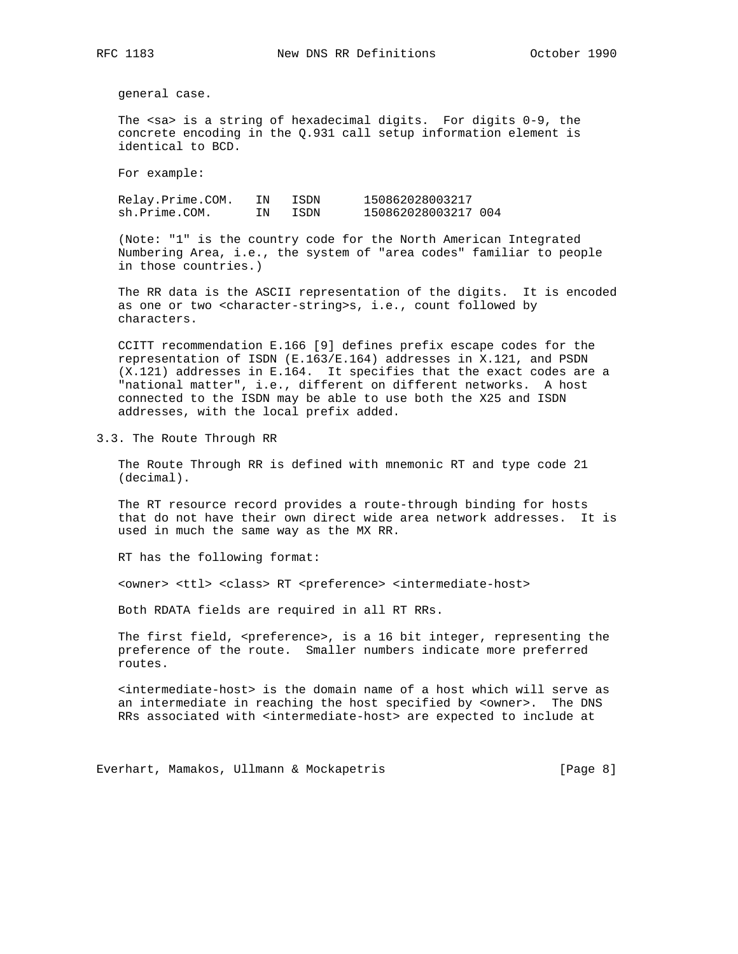general case.

 The <sa> is a string of hexadecimal digits. For digits 0-9, the concrete encoding in the Q.931 call setup information element is identical to BCD.

For example:

 Relay.Prime.COM. IN ISDN 150862028003217 sh.Prime.COM. IN ISDN 150862028003217 004

 (Note: "1" is the country code for the North American Integrated Numbering Area, i.e., the system of "area codes" familiar to people in those countries.)

 The RR data is the ASCII representation of the digits. It is encoded as one or two <character-string>s, i.e., count followed by characters.

 CCITT recommendation E.166 [9] defines prefix escape codes for the representation of ISDN (E.163/E.164) addresses in X.121, and PSDN (X.121) addresses in E.164. It specifies that the exact codes are a "national matter", i.e., different on different networks. A host connected to the ISDN may be able to use both the X25 and ISDN addresses, with the local prefix added.

3.3. The Route Through RR

 The Route Through RR is defined with mnemonic RT and type code 21 (decimal).

 The RT resource record provides a route-through binding for hosts that do not have their own direct wide area network addresses. It is used in much the same way as the MX RR.

RT has the following format:

<owner> <ttl> <class> RT <preference> <intermediate-host>

Both RDATA fields are required in all RT RRs.

The first field, <preference>, is a 16 bit integer, representing the preference of the route. Smaller numbers indicate more preferred routes.

 <intermediate-host> is the domain name of a host which will serve as an intermediate in reaching the host specified by <owner>. The DNS RRs associated with <intermediate-host> are expected to include at

Everhart, Mamakos, Ullmann & Mockapetris [Page 8]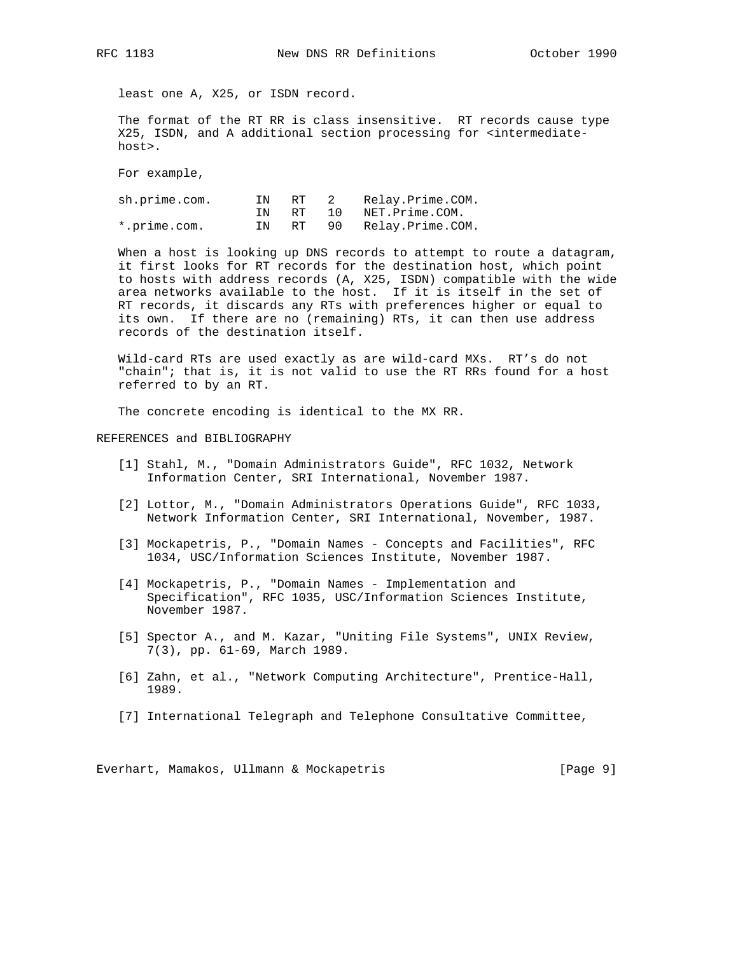least one A, X25, or ISDN record.

 The format of the RT RR is class insensitive. RT records cause type X25, ISDN, and A additional section processing for <intermediate host>.

For example,

| sh.prime.com. | IN | RT          | 2  | Relay.Prime.COM.       |
|---------------|----|-------------|----|------------------------|
|               | TN | RT <b>R</b> | 10 | NET.Prime.COM.         |
| *.prime.com.  | IN |             |    | RT 90 Relay.Prime.COM. |

 When a host is looking up DNS records to attempt to route a datagram, it first looks for RT records for the destination host, which point to hosts with address records (A, X25, ISDN) compatible with the wide area networks available to the host. If it is itself in the set of RT records, it discards any RTs with preferences higher or equal to its own. If there are no (remaining) RTs, it can then use address records of the destination itself.

 Wild-card RTs are used exactly as are wild-card MXs. RT's do not "chain"; that is, it is not valid to use the RT RRs found for a host referred to by an RT.

The concrete encoding is identical to the MX RR.

REFERENCES and BIBLIOGRAPHY

- [1] Stahl, M., "Domain Administrators Guide", RFC 1032, Network Information Center, SRI International, November 1987.
- [2] Lottor, M., "Domain Administrators Operations Guide", RFC 1033, Network Information Center, SRI International, November, 1987.
- [3] Mockapetris, P., "Domain Names Concepts and Facilities", RFC 1034, USC/Information Sciences Institute, November 1987.
- [4] Mockapetris, P., "Domain Names Implementation and Specification", RFC 1035, USC/Information Sciences Institute, November 1987.
- [5] Spector A., and M. Kazar, "Uniting File Systems", UNIX Review, 7(3), pp. 61-69, March 1989.
- [6] Zahn, et al., "Network Computing Architecture", Prentice-Hall, 1989.
- [7] International Telegraph and Telephone Consultative Committee,

Everhart, Mamakos, Ullmann & Mockapetris [Page 9]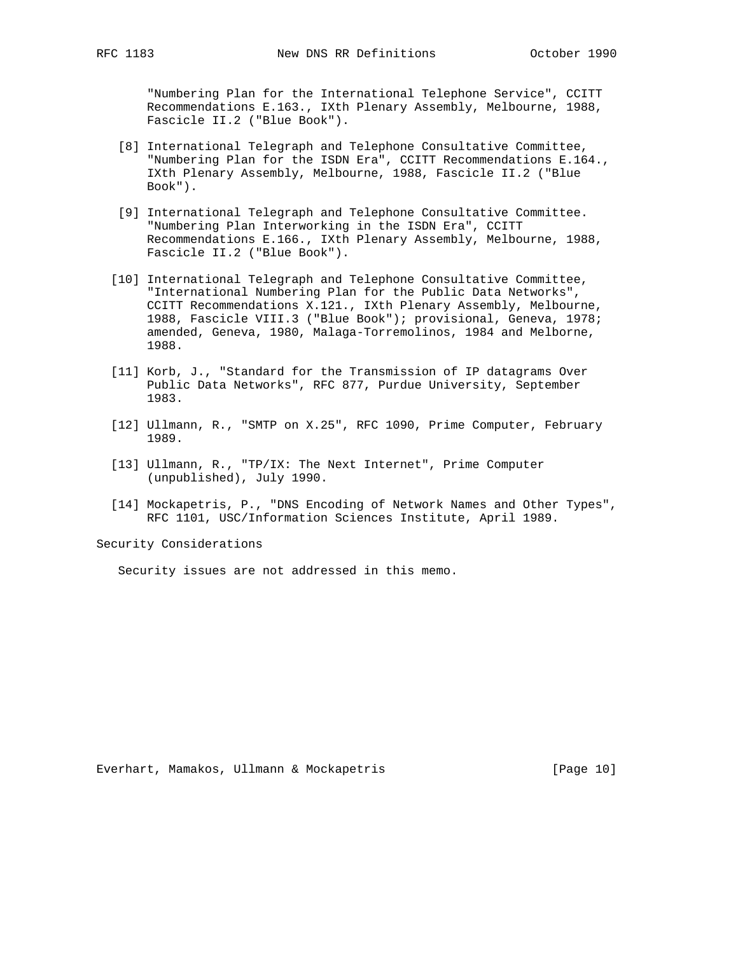"Numbering Plan for the International Telephone Service", CCITT Recommendations E.163., IXth Plenary Assembly, Melbourne, 1988, Fascicle II.2 ("Blue Book").

- [8] International Telegraph and Telephone Consultative Committee, "Numbering Plan for the ISDN Era", CCITT Recommendations E.164., IXth Plenary Assembly, Melbourne, 1988, Fascicle II.2 ("Blue Book").
- [9] International Telegraph and Telephone Consultative Committee. "Numbering Plan Interworking in the ISDN Era", CCITT Recommendations E.166., IXth Plenary Assembly, Melbourne, 1988, Fascicle II.2 ("Blue Book").
- [10] International Telegraph and Telephone Consultative Committee, "International Numbering Plan for the Public Data Networks", CCITT Recommendations X.121., IXth Plenary Assembly, Melbourne, 1988, Fascicle VIII.3 ("Blue Book"); provisional, Geneva, 1978; amended, Geneva, 1980, Malaga-Torremolinos, 1984 and Melborne, 1988.
- [11] Korb, J., "Standard for the Transmission of IP datagrams Over Public Data Networks", RFC 877, Purdue University, September 1983.
- [12] Ullmann, R., "SMTP on X.25", RFC 1090, Prime Computer, February 1989.
- [13] Ullmann, R., "TP/IX: The Next Internet", Prime Computer (unpublished), July 1990.
- [14] Mockapetris, P., "DNS Encoding of Network Names and Other Types", RFC 1101, USC/Information Sciences Institute, April 1989.

Security Considerations

Security issues are not addressed in this memo.